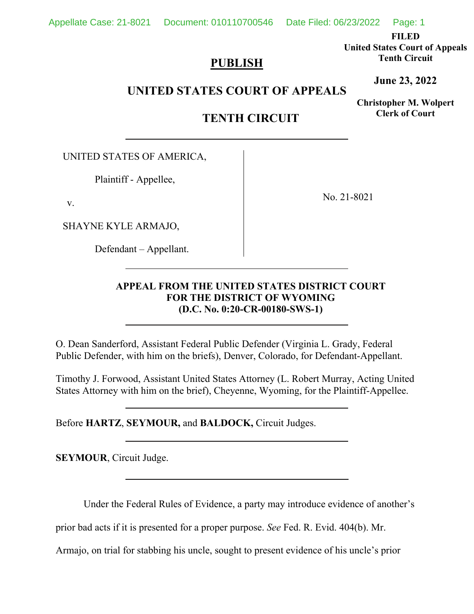Appellate Case: 21-8021 Document: 010110700546 Date Filed: 06/23/2022 Page: 1

**FILED** 

**United States Court of Appeals Tenth Circuit** 

# **PUBLISH**

**UNITED STATES COURT OF APPEALS** 

**Christopher M. Wolpert Clerk of Court**

**June 23, 2022**

**TENTH CIRCUIT** 

UNITED STATES OF AMERICA,

Plaintiff - Appellee,

v.

SHAYNE KYLE ARMAJO,

Defendant – Appellant.

No. 21-8021

# **APPEAL FROM THE UNITED STATES DISTRICT COURT FOR THE DISTRICT OF WYOMING (D.C. No. 0:20-CR-00180-SWS-1)**

O. Dean Sanderford, Assistant Federal Public Defender (Virginia L. Grady, Federal Public Defender, with him on the briefs), Denver, Colorado, for Defendant-Appellant.

Timothy J. Forwood, Assistant United States Attorney (L. Robert Murray, Acting United States Attorney with him on the brief), Cheyenne, Wyoming, for the Plaintiff-Appellee.

Before **HARTZ**, **SEYMOUR,** and **BALDOCK,** Circuit Judges.

**SEYMOUR**, Circuit Judge.

Under the Federal Rules of Evidence, a party may introduce evidence of another's

prior bad acts if it is presented for a proper purpose. *See* Fed. R. Evid. 404(b). Mr.

Armajo, on trial for stabbing his uncle, sought to present evidence of his uncle's prior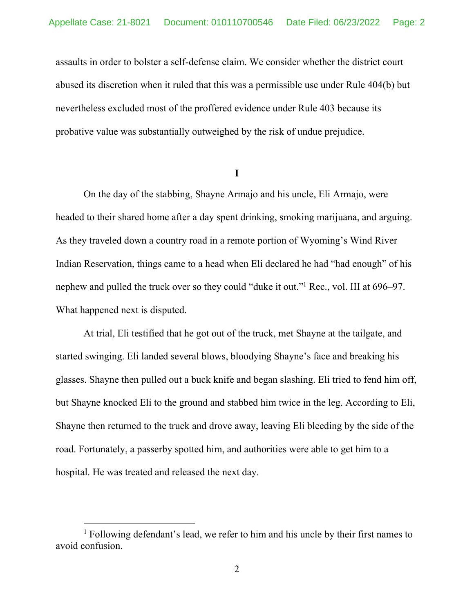assaults in order to bolster a self-defense claim. We consider whether the district court abused its discretion when it ruled that this was a permissible use under Rule 404(b) but nevertheless excluded most of the proffered evidence under Rule 403 because its probative value was substantially outweighed by the risk of undue prejudice.

**I** 

On the day of the stabbing, Shayne Armajo and his uncle, Eli Armajo, were headed to their shared home after a day spent drinking, smoking marijuana, and arguing. As they traveled down a country road in a remote portion of Wyoming's Wind River Indian Reservation, things came to a head when Eli declared he had "had enough" of his nephew and pulled the truck over so they could "duke it out."1 Rec., vol. III at 696–97. What happened next is disputed.

At trial, Eli testified that he got out of the truck, met Shayne at the tailgate, and started swinging. Eli landed several blows, bloodying Shayne's face and breaking his glasses. Shayne then pulled out a buck knife and began slashing. Eli tried to fend him off, but Shayne knocked Eli to the ground and stabbed him twice in the leg. According to Eli, Shayne then returned to the truck and drove away, leaving Eli bleeding by the side of the road. Fortunately, a passerby spotted him, and authorities were able to get him to a hospital. He was treated and released the next day.

<sup>&</sup>lt;sup>1</sup> Following defendant's lead, we refer to him and his uncle by their first names to avoid confusion.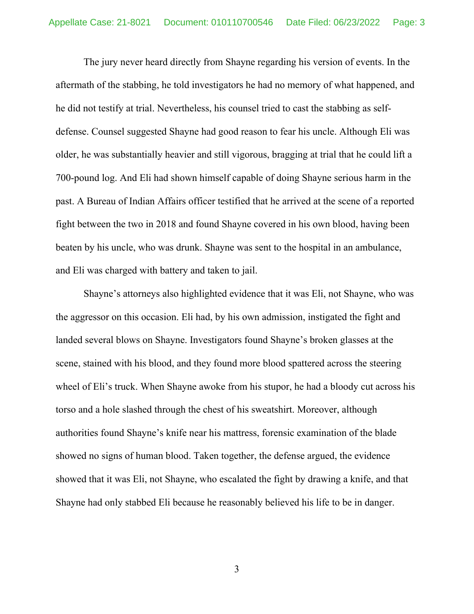The jury never heard directly from Shayne regarding his version of events. In the aftermath of the stabbing, he told investigators he had no memory of what happened, and he did not testify at trial. Nevertheless, his counsel tried to cast the stabbing as selfdefense. Counsel suggested Shayne had good reason to fear his uncle. Although Eli was older, he was substantially heavier and still vigorous, bragging at trial that he could lift a 700-pound log. And Eli had shown himself capable of doing Shayne serious harm in the past. A Bureau of Indian Affairs officer testified that he arrived at the scene of a reported fight between the two in 2018 and found Shayne covered in his own blood, having been beaten by his uncle, who was drunk. Shayne was sent to the hospital in an ambulance, and Eli was charged with battery and taken to jail.

Shayne's attorneys also highlighted evidence that it was Eli, not Shayne, who was the aggressor on this occasion. Eli had, by his own admission, instigated the fight and landed several blows on Shayne. Investigators found Shayne's broken glasses at the scene, stained with his blood, and they found more blood spattered across the steering wheel of Eli's truck. When Shayne awoke from his stupor, he had a bloody cut across his torso and a hole slashed through the chest of his sweatshirt. Moreover, although authorities found Shayne's knife near his mattress, forensic examination of the blade showed no signs of human blood. Taken together, the defense argued, the evidence showed that it was Eli, not Shayne, who escalated the fight by drawing a knife, and that Shayne had only stabbed Eli because he reasonably believed his life to be in danger.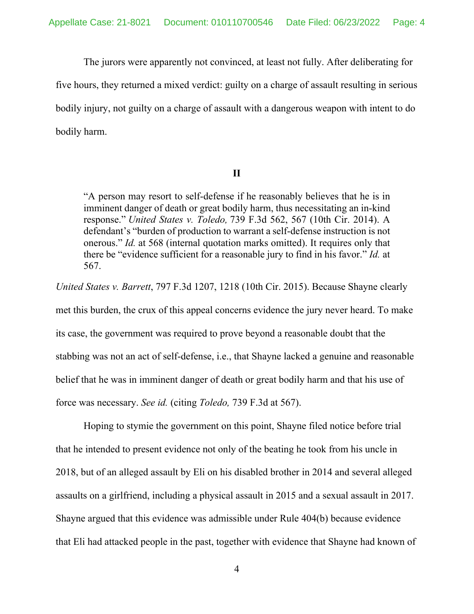The jurors were apparently not convinced, at least not fully. After deliberating for

five hours, they returned a mixed verdict: guilty on a charge of assault resulting in serious bodily injury, not guilty on a charge of assault with a dangerous weapon with intent to do bodily harm.

## **II**

"A person may resort to self-defense if he reasonably believes that he is in imminent danger of death or great bodily harm, thus necessitating an in-kind response." *United States v. Toledo,* 739 F.3d 562, 567 (10th Cir. 2014). A defendant's "burden of production to warrant a self-defense instruction is not onerous." *Id.* at 568 (internal quotation marks omitted). It requires only that there be "evidence sufficient for a reasonable jury to find in his favor." *Id.* at 567.

*United States v. Barrett*, 797 F.3d 1207, 1218 (10th Cir. 2015). Because Shayne clearly met this burden, the crux of this appeal concerns evidence the jury never heard. To make its case, the government was required to prove beyond a reasonable doubt that the stabbing was not an act of self-defense, i.e., that Shayne lacked a genuine and reasonable belief that he was in imminent danger of death or great bodily harm and that his use of force was necessary. *See id.* (citing *Toledo,* 739 F.3d at 567).

Hoping to stymie the government on this point, Shayne filed notice before trial that he intended to present evidence not only of the beating he took from his uncle in 2018, but of an alleged assault by Eli on his disabled brother in 2014 and several alleged assaults on a girlfriend, including a physical assault in 2015 and a sexual assault in 2017. Shayne argued that this evidence was admissible under Rule 404(b) because evidence that Eli had attacked people in the past, together with evidence that Shayne had known of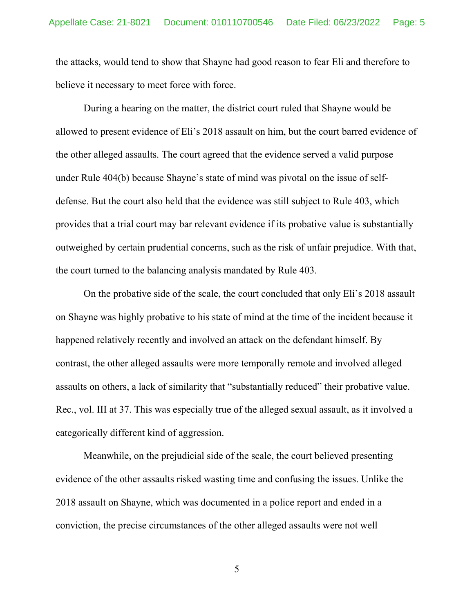the attacks, would tend to show that Shayne had good reason to fear Eli and therefore to believe it necessary to meet force with force.

 During a hearing on the matter, the district court ruled that Shayne would be allowed to present evidence of Eli's 2018 assault on him, but the court barred evidence of the other alleged assaults. The court agreed that the evidence served a valid purpose under Rule 404(b) because Shayne's state of mind was pivotal on the issue of selfdefense. But the court also held that the evidence was still subject to Rule 403, which provides that a trial court may bar relevant evidence if its probative value is substantially outweighed by certain prudential concerns, such as the risk of unfair prejudice. With that, the court turned to the balancing analysis mandated by Rule 403.

On the probative side of the scale, the court concluded that only Eli's 2018 assault on Shayne was highly probative to his state of mind at the time of the incident because it happened relatively recently and involved an attack on the defendant himself. By contrast, the other alleged assaults were more temporally remote and involved alleged assaults on others, a lack of similarity that "substantially reduced" their probative value. Rec., vol. III at 37. This was especially true of the alleged sexual assault, as it involved a categorically different kind of aggression.

 Meanwhile, on the prejudicial side of the scale, the court believed presenting evidence of the other assaults risked wasting time and confusing the issues. Unlike the 2018 assault on Shayne, which was documented in a police report and ended in a conviction, the precise circumstances of the other alleged assaults were not well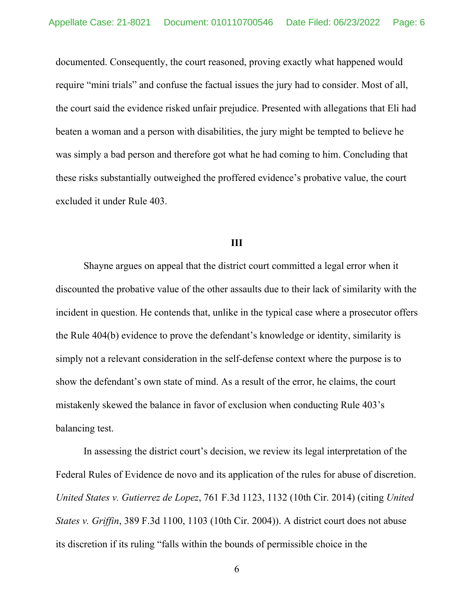documented. Consequently, the court reasoned, proving exactly what happened would require "mini trials" and confuse the factual issues the jury had to consider. Most of all, the court said the evidence risked unfair prejudice. Presented with allegations that Eli had beaten a woman and a person with disabilities, the jury might be tempted to believe he was simply a bad person and therefore got what he had coming to him. Concluding that these risks substantially outweighed the proffered evidence's probative value, the court excluded it under Rule 403.

#### **III**

 Shayne argues on appeal that the district court committed a legal error when it discounted the probative value of the other assaults due to their lack of similarity with the incident in question. He contends that, unlike in the typical case where a prosecutor offers the Rule 404(b) evidence to prove the defendant's knowledge or identity, similarity is simply not a relevant consideration in the self-defense context where the purpose is to show the defendant's own state of mind. As a result of the error, he claims, the court mistakenly skewed the balance in favor of exclusion when conducting Rule 403's balancing test.

In assessing the district court's decision, we review its legal interpretation of the Federal Rules of Evidence de novo and its application of the rules for abuse of discretion. *United States v. Gutierrez de Lopez*, 761 F.3d 1123, 1132 (10th Cir. 2014) (citing *United States v. Griffin*, 389 F.3d 1100, 1103 (10th Cir. 2004)). A district court does not abuse its discretion if its ruling "falls within the bounds of permissible choice in the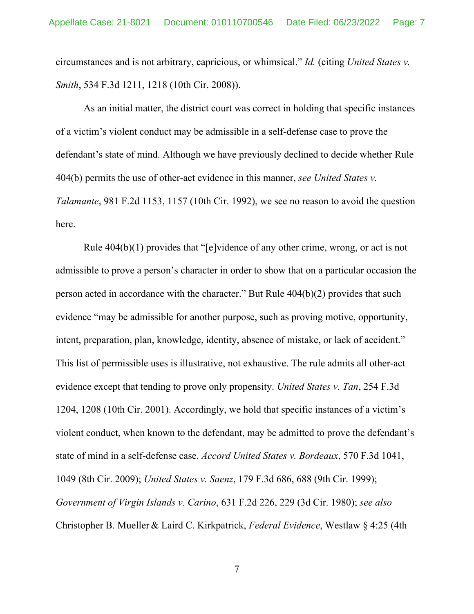circumstances and is not arbitrary, capricious, or whimsical." *Id.* (citing *United States v. Smith*, 534 F.3d 1211, 1218 (10th Cir. 2008)).

 As an initial matter, the district court was correct in holding that specific instances of a victim's violent conduct may be admissible in a self-defense case to prove the defendant's state of mind. Although we have previously declined to decide whether Rule 404(b) permits the use of other-act evidence in this manner, *see United States v. Talamante*, 981 F.2d 1153, 1157 (10th Cir. 1992), we see no reason to avoid the question here.

Rule 404(b)(1) provides that "[e]vidence of any other crime, wrong, or act is not admissible to prove a person's character in order to show that on a particular occasion the person acted in accordance with the character." But Rule 404(b)(2) provides that such evidence "may be admissible for another purpose, such as proving motive, opportunity, intent, preparation, plan, knowledge, identity, absence of mistake, or lack of accident." This list of permissible uses is illustrative, not exhaustive. The rule admits all other-act evidence except that tending to prove only propensity. *United States v. Tan*, 254 F.3d 1204, 1208 (10th Cir. 2001). Accordingly, we hold that specific instances of a victim's violent conduct, when known to the defendant, may be admitted to prove the defendant's state of mind in a self-defense case. *Accord United States v. Bordeaux*, 570 F.3d 1041, 1049 (8th Cir. 2009); *United States v. Saenz*, 179 F.3d 686, 688 (9th Cir. 1999); *Government of Virgin Islands v. Carino*, 631 F.2d 226, 229 (3d Cir. 1980); *see also* Christopher B. Mueller & Laird C. Kirkpatrick, *Federal Evidence*, Westlaw § 4:25 (4th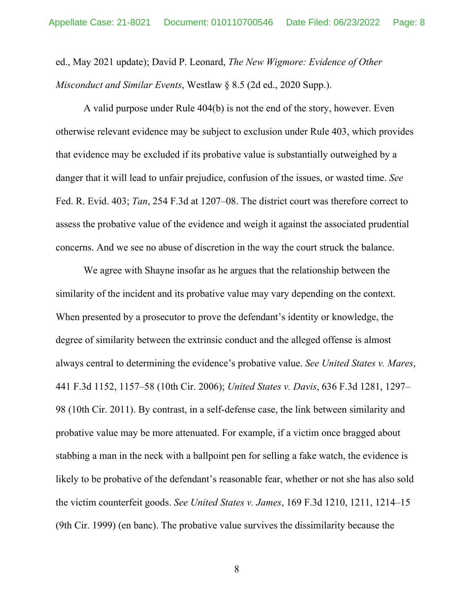ed., May 2021 update); David P. Leonard, *The New Wigmore: Evidence of Other Misconduct and Similar Events*, Westlaw § 8.5 (2d ed., 2020 Supp.).

A valid purpose under Rule 404(b) is not the end of the story, however. Even otherwise relevant evidence may be subject to exclusion under Rule 403, which provides that evidence may be excluded if its probative value is substantially outweighed by a danger that it will lead to unfair prejudice, confusion of the issues, or wasted time. *See*  Fed. R. Evid. 403; *Tan*, 254 F.3d at 1207–08. The district court was therefore correct to assess the probative value of the evidence and weigh it against the associated prudential concerns. And we see no abuse of discretion in the way the court struck the balance.

We agree with Shayne insofar as he argues that the relationship between the similarity of the incident and its probative value may vary depending on the context. When presented by a prosecutor to prove the defendant's identity or knowledge, the degree of similarity between the extrinsic conduct and the alleged offense is almost always central to determining the evidence's probative value. *See United States v. Mares*, 441 F.3d 1152, 1157–58 (10th Cir. 2006); *United States v. Davis*, 636 F.3d 1281, 1297– 98 (10th Cir. 2011). By contrast, in a self-defense case, the link between similarity and probative value may be more attenuated. For example, if a victim once bragged about stabbing a man in the neck with a ballpoint pen for selling a fake watch, the evidence is likely to be probative of the defendant's reasonable fear, whether or not she has also sold the victim counterfeit goods. *See United States v. James*, 169 F.3d 1210, 1211, 1214–15 (9th Cir. 1999) (en banc). The probative value survives the dissimilarity because the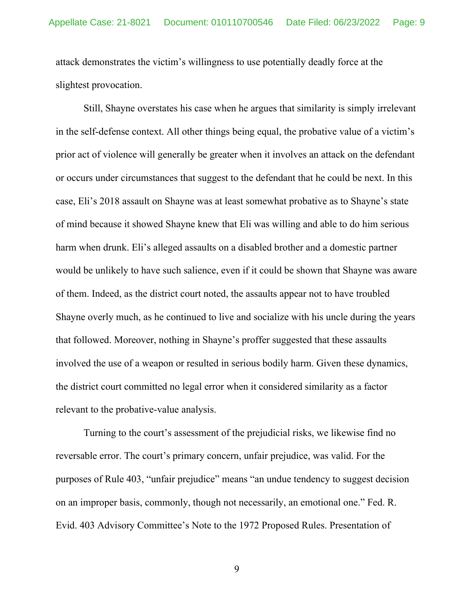attack demonstrates the victim's willingness to use potentially deadly force at the slightest provocation.

Still, Shayne overstates his case when he argues that similarity is simply irrelevant in the self-defense context. All other things being equal, the probative value of a victim's prior act of violence will generally be greater when it involves an attack on the defendant or occurs under circumstances that suggest to the defendant that he could be next. In this case, Eli's 2018 assault on Shayne was at least somewhat probative as to Shayne's state of mind because it showed Shayne knew that Eli was willing and able to do him serious harm when drunk. Eli's alleged assaults on a disabled brother and a domestic partner would be unlikely to have such salience, even if it could be shown that Shayne was aware of them. Indeed, as the district court noted, the assaults appear not to have troubled Shayne overly much, as he continued to live and socialize with his uncle during the years that followed. Moreover, nothing in Shayne's proffer suggested that these assaults involved the use of a weapon or resulted in serious bodily harm. Given these dynamics, the district court committed no legal error when it considered similarity as a factor relevant to the probative-value analysis.

Turning to the court's assessment of the prejudicial risks, we likewise find no reversable error. The court's primary concern, unfair prejudice, was valid. For the purposes of Rule 403, "unfair prejudice" means "an undue tendency to suggest decision on an improper basis, commonly, though not necessarily, an emotional one." Fed. R. Evid. 403 Advisory Committee's Note to the 1972 Proposed Rules. Presentation of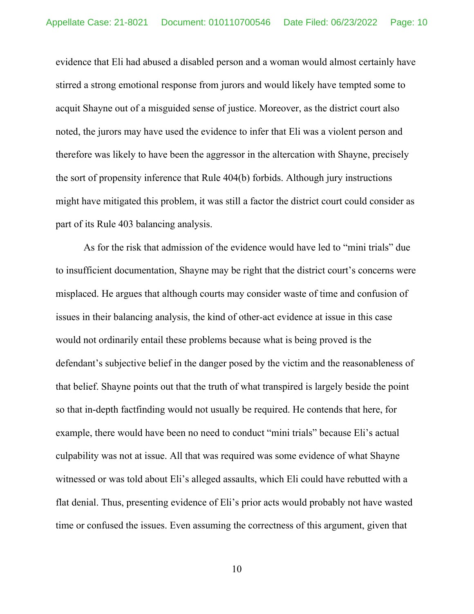evidence that Eli had abused a disabled person and a woman would almost certainly have stirred a strong emotional response from jurors and would likely have tempted some to acquit Shayne out of a misguided sense of justice. Moreover, as the district court also noted, the jurors may have used the evidence to infer that Eli was a violent person and therefore was likely to have been the aggressor in the altercation with Shayne, precisely the sort of propensity inference that Rule 404(b) forbids. Although jury instructions might have mitigated this problem, it was still a factor the district court could consider as part of its Rule 403 balancing analysis.

 As for the risk that admission of the evidence would have led to "mini trials" due to insufficient documentation, Shayne may be right that the district court's concerns were misplaced. He argues that although courts may consider waste of time and confusion of issues in their balancing analysis, the kind of other-act evidence at issue in this case would not ordinarily entail these problems because what is being proved is the defendant's subjective belief in the danger posed by the victim and the reasonableness of that belief. Shayne points out that the truth of what transpired is largely beside the point so that in-depth factfinding would not usually be required. He contends that here, for example, there would have been no need to conduct "mini trials" because Eli's actual culpability was not at issue. All that was required was some evidence of what Shayne witnessed or was told about Eli's alleged assaults, which Eli could have rebutted with a flat denial. Thus, presenting evidence of Eli's prior acts would probably not have wasted time or confused the issues. Even assuming the correctness of this argument, given that